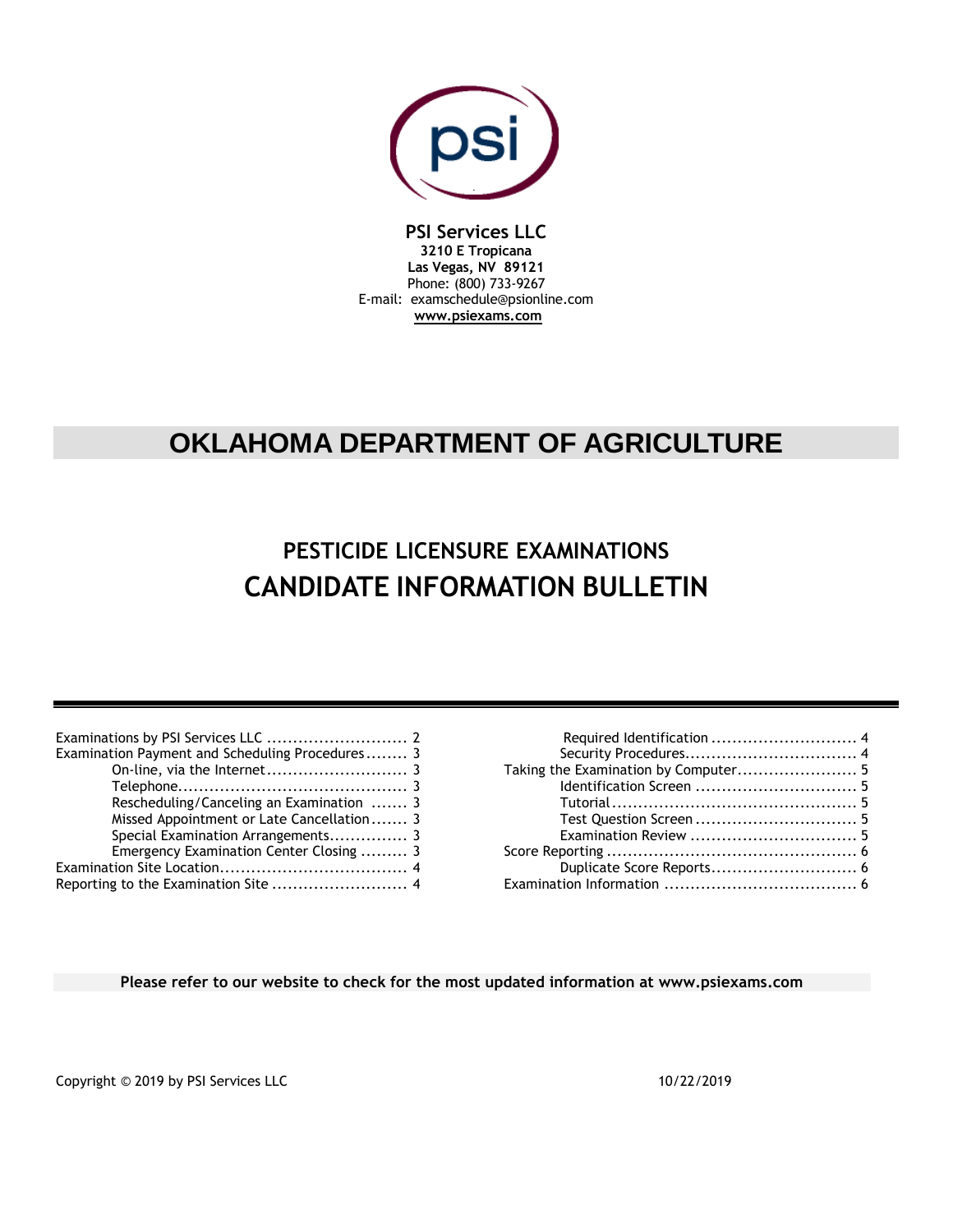

**PSI Services LLC 3210 E Tropicana Las Vegas, NV 89121** Phone: (800) 733-9267 E-mail: examschedule@psionline.com **[www.psiexams.com](http://www.psiexams.com/)**

# **OKLAHOMA DEPARTMENT OF AGRICULTURE**

# **PESTICIDE LICENSURE EXAMINATIONS CANDIDATE INFORMATION BULLETIN**

| Examination Payment and Scheduling Procedures 3 |
|-------------------------------------------------|
|                                                 |
|                                                 |
| Rescheduling/Canceling an Examination  3        |
| Missed Appointment or Late Cancellation 3       |
|                                                 |
| Emergency Examination Center Closing  3         |
|                                                 |
|                                                 |
|                                                 |

| Taking the Examination by Computer 5 |  |
|--------------------------------------|--|
|                                      |  |
|                                      |  |
|                                      |  |
|                                      |  |
|                                      |  |
| Duplicate Score Reports 6            |  |
|                                      |  |

**Please refer to our website to check for the most updated information at www.psiexams.com**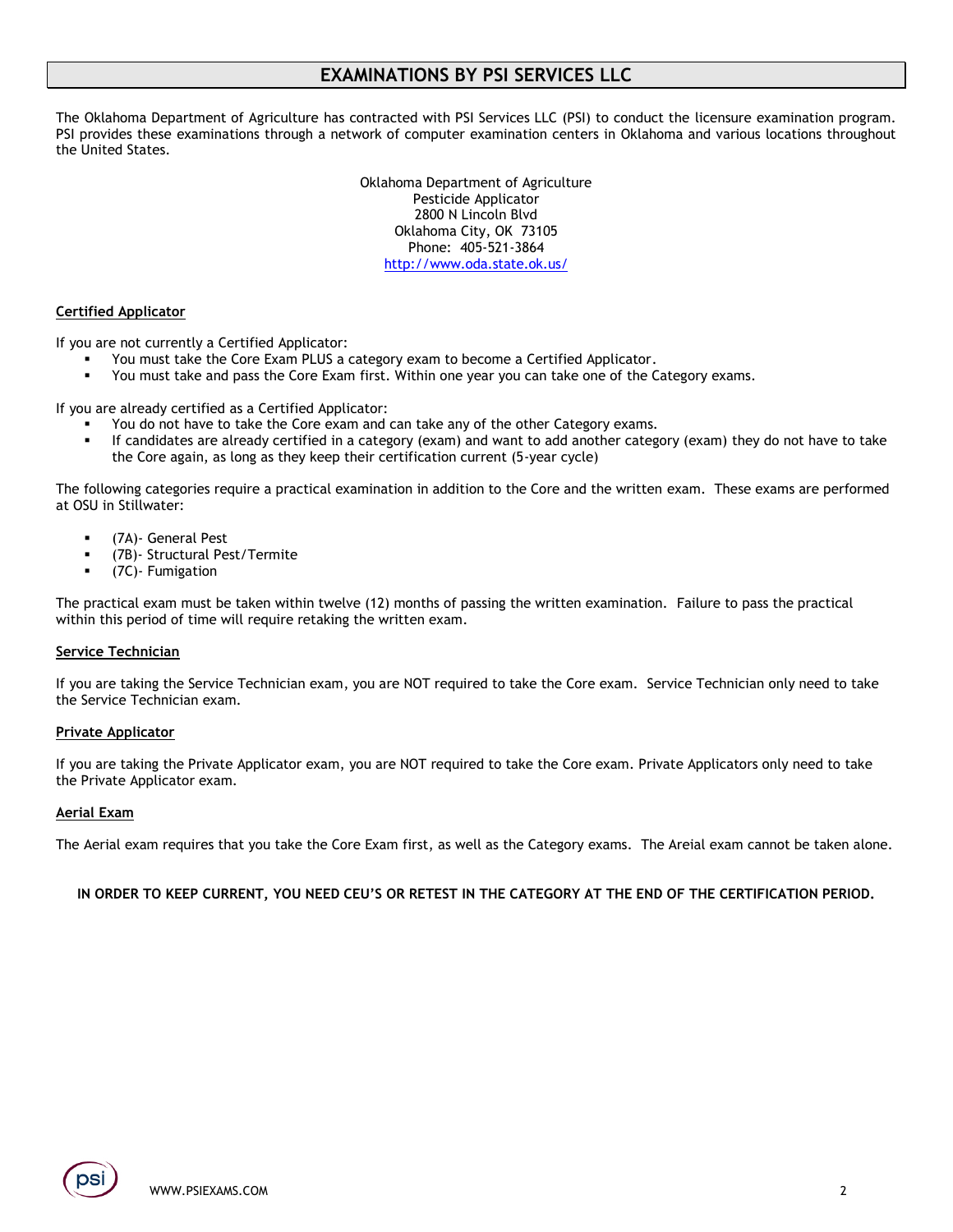# **EXAMINATIONS BY PSI SERVICES LLC**

The Oklahoma Department of Agriculture has contracted with PSI Services LLC (PSI) to conduct the licensure examination program. PSI provides these examinations through a network of computer examination centers in Oklahoma and various locations throughout the United States.

> Oklahoma Department of Agriculture Pesticide Applicator 2800 N Lincoln Blvd Oklahoma City, OK 73105 Phone: 405-521-3864 <http://www.oda.state.ok.us/>

### **Certified Applicator**

If you are not currently a Certified Applicator:

- You must take the Core Exam PLUS a category exam to become a Certified Applicator.
- You must take and pass the Core Exam first. Within one year you can take one of the Category exams.

If you are already certified as a Certified Applicator:

- You do not have to take the Core exam and can take any of the other Category exams.
- If candidates are already certified in a category (exam) and want to add another category (exam) they do not have to take the Core again, as long as they keep their certification current (5-year cycle)

The following categories require a practical examination in addition to the Core and the written exam. These exams are performed at OSU in Stillwater:

- (7A)- General Pest
- (7B)- Structural Pest/Termite
- (7C)- Fumigation

The practical exam must be taken within twelve (12) months of passing the written examination. Failure to pass the practical within this period of time will require retaking the written exam.

### **Service Technician**

If you are taking the Service Technician exam, you are NOT required to take the Core exam. Service Technician only need to take the Service Technician exam.

#### **Private Applicator**

If you are taking the Private Applicator exam, you are NOT required to take the Core exam. Private Applicators only need to take the Private Applicator exam.

#### **Aerial Exam**

The Aerial exam requires that you take the Core Exam first, as well as the Category exams. The Areial exam cannot be taken alone.

**IN ORDER TO KEEP CURRENT, YOU NEED CEU'S OR RETEST IN THE CATEGORY AT THE END OF THE CERTIFICATION PERIOD.**

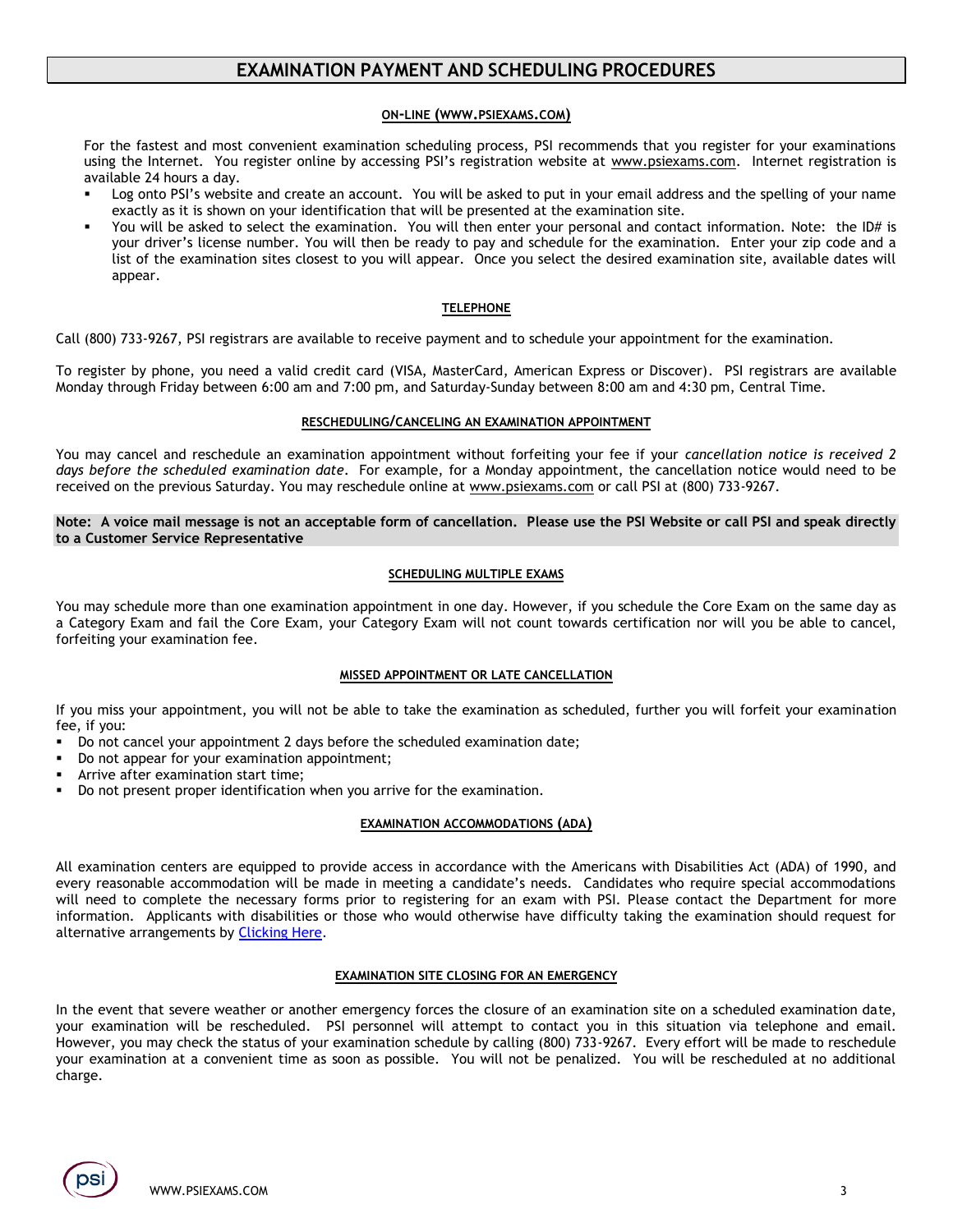# **EXAMINATION PAYMENT AND SCHEDULING PROCEDURES**

### **ON-LINE (WWW.[PSIEXAMS](http://www.psiexams.com/).COM)**

For the fastest and most convenient examination scheduling process, PSI recommends that you register for your examinations using the Internet. You register online by accessing PSI's registration website at [www.psiexams.com.](http://www.psiexams.com/) Internet registration is available 24 hours a day.

- Log onto PSI's website and create an account. You will be asked to put in your email address and the spelling of your name exactly as it is shown on your identification that will be presented at the examination site.
- You will be asked to select the examination. You will then enter your personal and contact information. Note: the ID# is your driver's license number. You will then be ready to pay and schedule for the examination. Enter your zip code and a list of the examination sites closest to you will appear. Once you select the desired examination site, available dates will appear.

### **TELEPHONE**

Call (800) 733-9267, PSI registrars are available to receive payment and to schedule your appointment for the examination.

To register by phone, you need a valid credit card (VISA, MasterCard, American Express or Discover). PSI registrars are available Monday through Friday between 6:00 am and 7:00 pm, and Saturday-Sunday between 8:00 am and 4:30 pm, Central Time.

### **RESCHEDULING/CANCELING AN EXAMINATION APPOINTMENT**

You may cancel and reschedule an examination appointment without forfeiting your fee if your *cancellation notice is received 2 days before the scheduled examination date*. For example, for a Monday appointment, the cancellation notice would need to be received on the previous Saturday. You may reschedule online at [www.psiexams.com](http://www.psiexams.com/) or call PSI at (800) 733-9267.

**Note: A voice mail message is not an acceptable form of cancellation. Please use the PSI Website or call PSI and speak directly to a Customer Service Representative**

### **SCHEDULING MULTIPLE EXAMS**

You may schedule more than one examination appointment in one day. However, if you schedule the Core Exam on the same day as a Category Exam and fail the Core Exam, your Category Exam will not count towards certification nor will you be able to cancel, forfeiting your examination fee.

### **MISSED APPOINTMENT OR LATE CANCELLATION**

If you miss your appointment, you will not be able to take the examination as scheduled, further you will forfeit your examination fee, if you:

- Do not cancel your appointment 2 days before the scheduled examination date;
- Do not appear for your examination appointment;
- Arrive after examination start time;
- Bo not present proper identification when you arrive for the examination.

### **EXAMINATION ACCOMMODATIONS (ADA)**

All examination centers are equipped to provide access in accordance with the Americans with Disabilities Act (ADA) of 1990, and every reasonable accommodation will be made in meeting a candidate's needs. Candidates who require special accommodations will need to complete the necessary forms prior to registering for an exam with PSI. Please contact the Department for more information. Applicants with disabilities or those who would otherwise have difficulty taking the examination should request for alternative arrangements by [Clicking Here.](https://psi-cdexp.zendesk.com/hc/en-us/requests/new?ticket_form_id=360000150872)

### **EXAMINATION SITE CLOSING FOR AN EMERGENCY**

In the event that severe weather or another emergency forces the closure of an examination site on a scheduled examination date, your examination will be rescheduled. PSI personnel will attempt to contact you in this situation via telephone and email. However, you may check the status of your examination schedule by calling (800) 733-9267. Every effort will be made to reschedule your examination at a convenient time as soon as possible. You will not be penalized. You will be rescheduled at no additional charge.

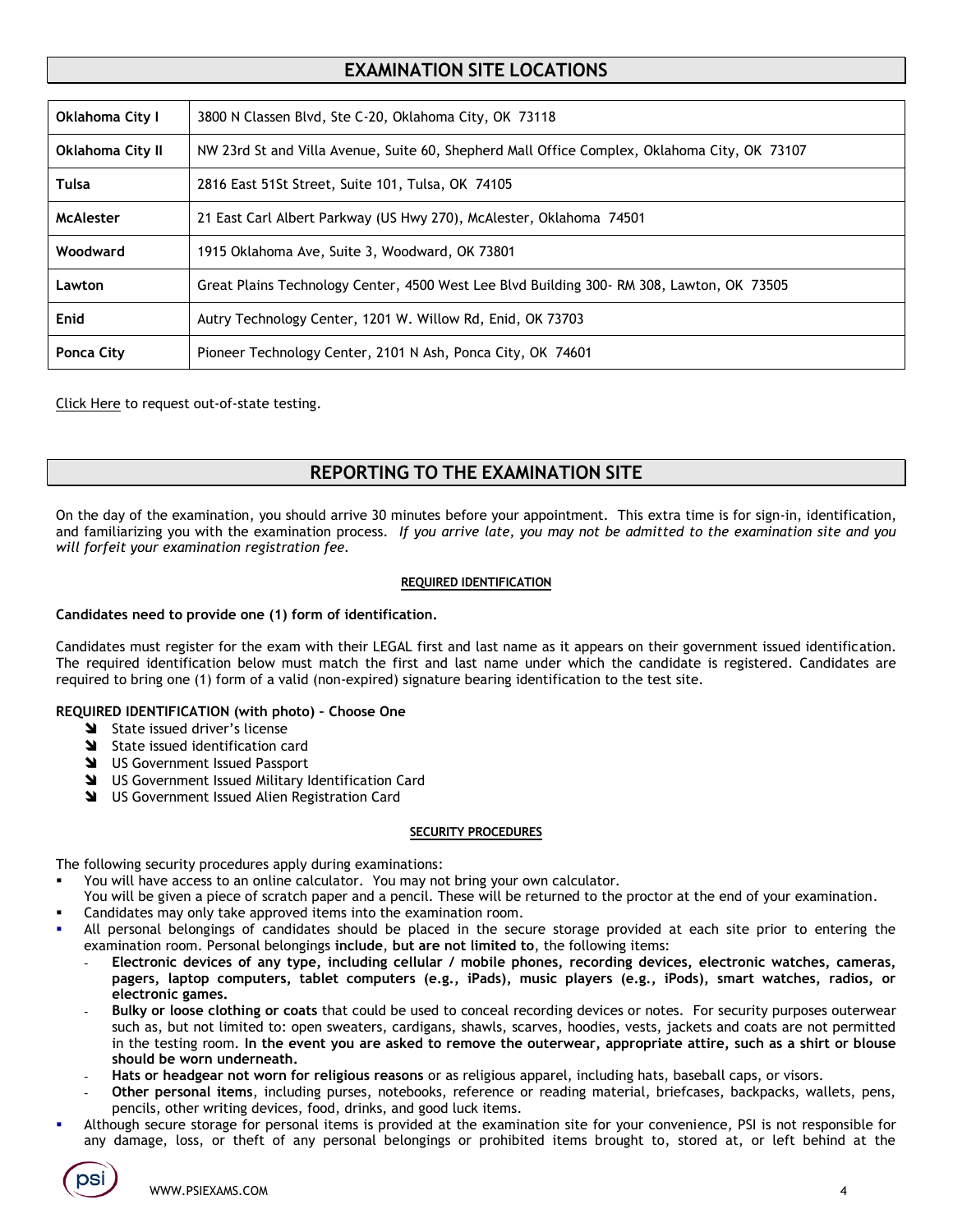# **EXAMINATION SITE LOCATIONS**

| Oklahoma City I  | 3800 N Classen Blvd, Ste C-20, Oklahoma City, OK 73118                                       |
|------------------|----------------------------------------------------------------------------------------------|
| Oklahoma City II | NW 23rd St and Villa Avenue, Suite 60, Shepherd Mall Office Complex, Oklahoma City, OK 73107 |
| Tulsa            | 2816 East 51St Street, Suite 101, Tulsa, OK 74105                                            |
| <b>McAlester</b> | 21 East Carl Albert Parkway (US Hwy 270), McAlester, Oklahoma 74501                          |
| Woodward         | 1915 Oklahoma Ave, Suite 3, Woodward, OK 73801                                               |
| Lawton           | Great Plains Technology Center, 4500 West Lee Blyd Building 300- RM 308, Lawton, OK 73505    |
| Enid             | Autry Technology Center, 1201 W. Willow Rd, Enid, OK 73703                                   |
| Ponca City       | Pioneer Technology Center, 2101 N Ash, Ponca City, OK 74601                                  |

[Click Here](https://psi-cdexp.zendesk.com/hc/en-us/requests/new?ticket_form_id=360000150872) to request out-of-state testing.

# **REPORTING TO THE EXAMINATION SITE**

On the day of the examination, you should arrive 30 minutes before your appointment. This extra time is for sign-in, identification, and familiarizing you with the examination process. *If you arrive late, you may not be admitted to the examination site and you will forfeit your examination registration fee.* 

### **REQUIRED IDENTIFICATION**

### **Candidates need to provide one (1) form of identification.**

Candidates must register for the exam with their LEGAL first and last name as it appears on their government issued identification. The required identification below must match the first and last name under which the candidate is registered. Candidates are required to bring one (1) form of a valid (non-expired) signature bearing identification to the test site.

## **REQUIRED IDENTIFICATION (with photo) – Choose One**

- State issued driver's license
- State issued identification card
- **N** US Government Issued Passport
- US Government Issued Military Identification Card
- US Government Issued Alien Registration Card

### **SECURITY PROCEDURES**

The following security procedures apply during examinations:

- You will have access to an online calculator. You may not bring your own calculator.
- You will be given a piece of scratch paper and a pencil. These will be returned to the proctor at the end of your examination.
- Candidates may only take approved items into the examination room.
- All personal belongings of candidates should be placed in the secure storage provided at each site prior to entering the examination room. Personal belongings **include**, **but are not limited to**, the following items:
	- **Electronic devices of any type, including cellular / mobile phones, recording devices, electronic watches, cameras, pagers, laptop computers, tablet computers (e.g., iPads), music players (e.g., iPods), smart watches, radios, or electronic games.**
	- **Bulky or loose clothing or coats** that could be used to conceal recording devices or notes. For security purposes outerwear such as, but not limited to: open sweaters, cardigans, shawls, scarves, hoodies, vests, jackets and coats are not permitted in the testing room. **In the event you are asked to remove the outerwear, appropriate attire, such as a shirt or blouse should be worn underneath.**
	- **Hats or headgear not worn for religious reasons** or as religious apparel, including hats, baseball caps, or visors.
	- **Other personal items**, including purses, notebooks, reference or reading material, briefcases, backpacks, wallets, pens, pencils, other writing devices, food, drinks, and good luck items.
- Although secure storage for personal items is provided at the examination site for your convenience, PSI is not responsible for any damage, loss, or theft of any personal belongings or prohibited items brought to, stored at, or left behind at the

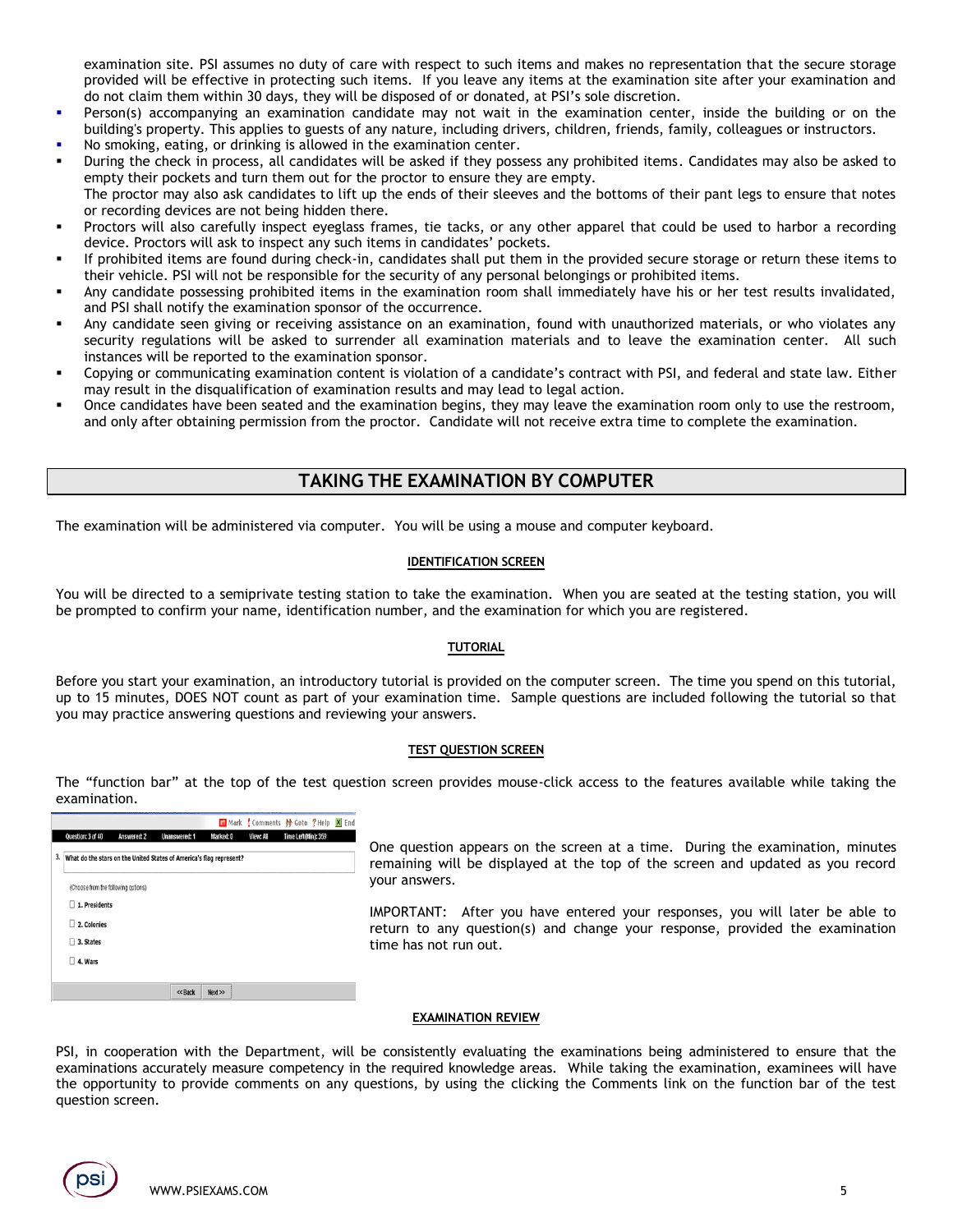examination site. PSI assumes no duty of care with respect to such items and makes no representation that the secure storage provided will be effective in protecting such items. If you leave any items at the examination site after your examination and do not claim them within 30 days, they will be disposed of or donated, at PSI's sole discretion.

- Person(s) accompanying an examination candidate may not wait in the examination center, inside the building or on the building's property. This applies to guests of any nature, including drivers, children, friends, family, colleagues or instructors.
- No smoking, eating, or drinking is allowed in the examination center.
- During the check in process, all candidates will be asked if they possess any prohibited items. Candidates may also be asked to empty their pockets and turn them out for the proctor to ensure they are empty. The proctor may also ask candidates to lift up the ends of their sleeves and the bottoms of their pant legs to ensure that notes or recording devices are not being hidden there.
- Proctors will also carefully inspect eyeglass frames, tie tacks, or any other apparel that could be used to harbor a recording device. Proctors will ask to inspect any such items in candidates' pockets.
- If prohibited items are found during check-in, candidates shall put them in the provided secure storage or return these items to their vehicle. PSI will not be responsible for the security of any personal belongings or prohibited items.
- Any candidate possessing prohibited items in the examination room shall immediately have his or her test results invalidated, and PSI shall notify the examination sponsor of the occurrence.
- Any candidate seen giving or receiving assistance on an examination, found with unauthorized materials, or who violates any security regulations will be asked to surrender all examination materials and to leave the examination center. All such instances will be reported to the examination sponsor.
- Copying or communicating examination content is violation of a candidate's contract with PSI, and federal and state law. Either may result in the disqualification of examination results and may lead to legal action.
- Once candidates have been seated and the examination begins, they may leave the examination room only to use the restroom, and only after obtaining permission from the proctor. Candidate will not receive extra time to complete the examination.

## **TAKING THE EXAMINATION BY COMPUTER**

The examination will be administered via computer. You will be using a mouse and computer keyboard.

### **IDENTIFICATION SCREEN**

You will be directed to a semiprivate testing station to take the examination. When you are seated at the testing station, you will be prompted to confirm your name, identification number, and the examination for which you are registered.

#### **TUTORIAL**

Before you start your examination, an introductory tutorial is provided on the computer screen. The time you spend on this tutorial, up to 15 minutes, DOES NOT count as part of your examination time. Sample questions are included following the tutorial so that you may practice answering questions and reviewing your answers.

#### **TEST QUESTION SCREEN**

The "function bar" at the top of the test question screen provides mouse-click access to the features available while taking the examination.

|                                                                           |                                     |             |                      |           |           | m Mark Comments M Goto ? Help X End |  |
|---------------------------------------------------------------------------|-------------------------------------|-------------|----------------------|-----------|-----------|-------------------------------------|--|
|                                                                           | Question: 3 of 40                   | Answered: 2 | <b>Unanswered: 1</b> | Marked: 0 | View: All | Time Left(Min): 359                 |  |
| 3.<br>What do the stars on the United States of America's flag represent? |                                     |             |                      |           |           |                                     |  |
|                                                                           | (Choose from the following options) |             |                      |           |           |                                     |  |
|                                                                           | 1. Presidents<br>п                  |             |                      |           |           |                                     |  |
| п<br>2. Colonies                                                          |                                     |             |                      |           |           |                                     |  |
|                                                                           | 3. States<br>П.                     |             |                      |           |           |                                     |  |
|                                                                           | 4. Wars<br>п                        |             |                      |           |           |                                     |  |
|                                                                           |                                     |             |                      |           |           |                                     |  |
|                                                                           |                                     |             | << Back              | Next      |           |                                     |  |

One question appears on the screen at a time. During the examination, minutes remaining will be displayed at the top of the screen and updated as you record your answers.

IMPORTANT: After you have entered your responses, you will later be able to return to any question(s) and change your response, provided the examination time has not run out.

#### **EXAMINATION REVIEW**

PSI, in cooperation with the Department, will be consistently evaluating the examinations being administered to ensure that the examinations accurately measure competency in the required knowledge areas. While taking the examination, examinees will have the opportunity to provide comments on any questions, by using the clicking the Comments link on the function bar of the test question screen.

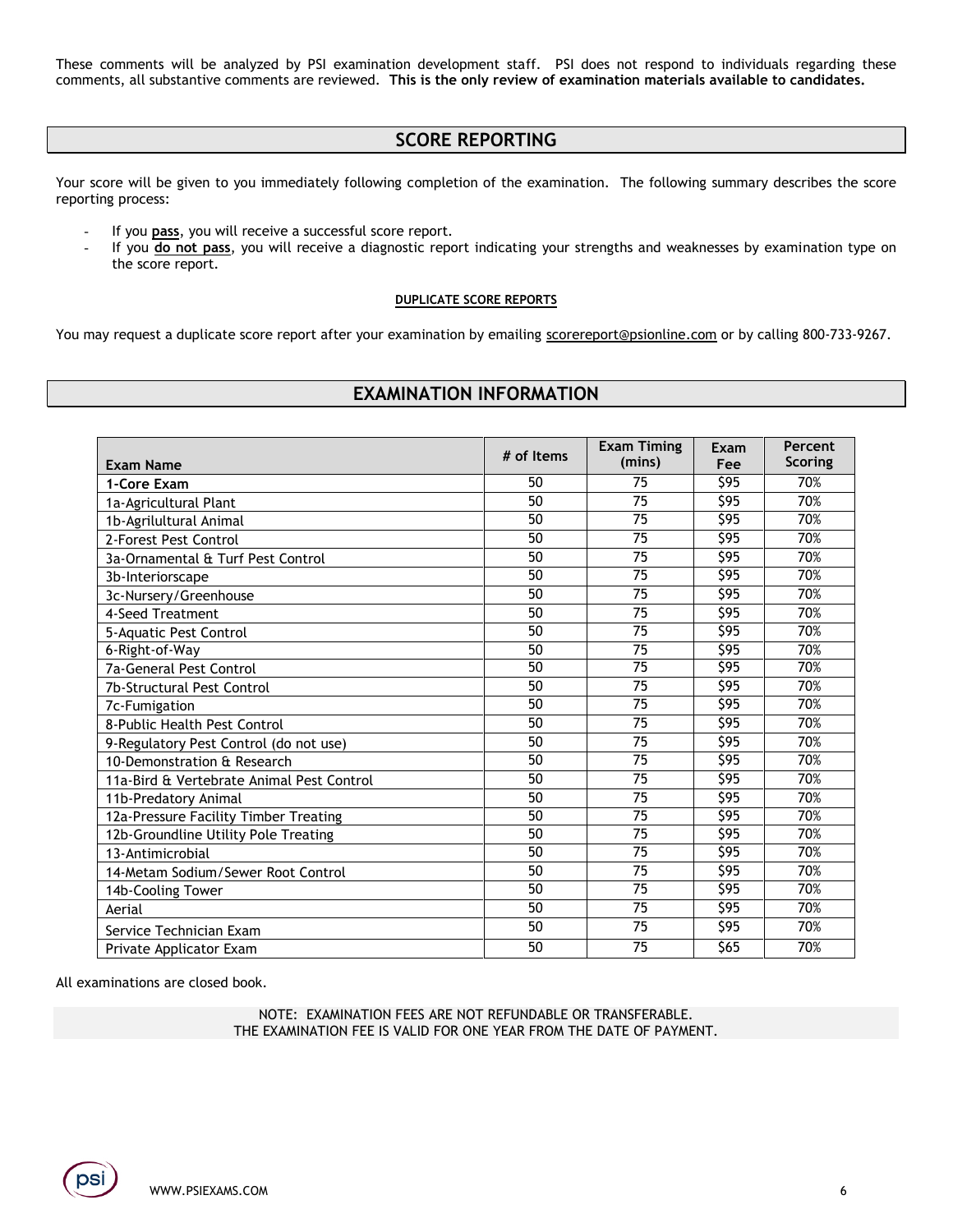These comments will be analyzed by PSI examination development staff. PSI does not respond to individuals regarding these comments, all substantive comments are reviewed. **This is the only review of examination materials available to candidates.**

# **SCORE REPORTING**

Your score will be given to you immediately following completion of the examination. The following summary describes the score reporting process:

- If you **pass**, you will receive a successful score report.
- If you do not pass, you will receive a diagnostic report indicating your strengths and weaknesses by examination type on the score report.

### **DUPLICATE SCORE REPORTS**

You may request a duplicate score report after your examination by emailing [scorereport@psionline.com](mailto:scorereport@psionline.com) or by calling 800-733-9267.

# **EXAMINATION INFORMATION**

|                                           | # of Items | <b>Exam Timing</b> | Exam             | Percent        |
|-------------------------------------------|------------|--------------------|------------------|----------------|
| <b>Exam Name</b>                          |            | (mins)             | Fee              | <b>Scoring</b> |
| 1-Core Exam                               | 50         | 75                 | $\overline{595}$ | 70%            |
| 1a-Agricultural Plant                     | 50         | 75                 | \$95             | 70%            |
| 1b-Agrilultural Animal                    | 50         | 75                 | \$95             | 70%            |
| 2-Forest Pest Control                     | 50         | 75                 | \$95             | 70%            |
| 3a-Ornamental & Turf Pest Control         | 50         | 75                 | \$95             | 70%            |
| 3b-Interiorscape                          | 50         | 75                 | \$95             | 70%            |
| 3c-Nursery/Greenhouse                     | 50         | 75                 | $\overline{595}$ | 70%            |
| 4-Seed Treatment                          | 50         | 75                 | \$95             | 70%            |
| 5-Aquatic Pest Control                    | 50         | 75                 | \$95             | 70%            |
| 6-Right-of-Way                            | 50         | 75                 | $\overline{595}$ | 70%            |
| <b>7a-General Pest Control</b>            | 50         | 75                 | \$95             | 70%            |
| 7b-Structural Pest Control                | 50         | 75                 | \$95             | 70%            |
| 7c-Fumigation                             | 50         | 75                 | \$95             | 70%            |
| 8-Public Health Pest Control              | 50         | 75                 | \$95             | 70%            |
| 9-Regulatory Pest Control (do not use)    | 50         | $\overline{75}$    | \$95             | 70%            |
| 10-Demonstration & Research               | 50         | 75                 | \$95             | 70%            |
| 11a-Bird & Vertebrate Animal Pest Control | 50         | 75                 | \$95             | 70%            |
| 11b-Predatory Animal                      | 50         | $\overline{75}$    | \$95             | 70%            |
| 12a-Pressure Facility Timber Treating     | 50         | 75                 | \$95             | 70%            |
| 12b-Groundline Utility Pole Treating      | 50         | 75                 | \$95             | 70%            |
| 13-Antimicrobial                          | 50         | $\overline{75}$    | \$95             | 70%            |
| 14-Metam Sodium/Sewer Root Control        | 50         | 75                 | \$95             | 70%            |
| 14b-Cooling Tower                         | 50         | 75                 | \$95             | 70%            |
| Aerial                                    | 50         | $\overline{75}$    | \$95             | 70%            |
| Service Technician Exam                   | 50         | $\overline{75}$    | \$95             | 70%            |
| Private Applicator Exam                   | 50         | 75                 | \$65             | 70%            |

All examinations are closed book.

NOTE: EXAMINATION FEES ARE NOT REFUNDABLE OR TRANSFERABLE. THE EXAMINATION FEE IS VALID FOR ONE YEAR FROM THE DATE OF PAYMENT.